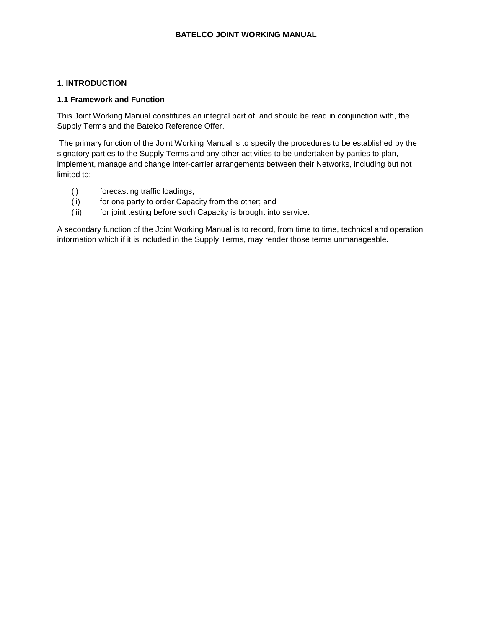### **BATELCO JOINT WORKING MANUAL**

### **1. INTRODUCTION**

#### **1.1 Framework and Function**

This Joint Working Manual constitutes an integral part of, and should be read in conjunction with, the Supply Terms and the Batelco Reference Offer.

The primary function of the Joint Working Manual is to specify the procedures to be established by the signatory parties to the Supply Terms and any other activities to be undertaken by parties to plan, implement, manage and change inter-carrier arrangements between their Networks, including but not limited to:

- (i) forecasting traffic loadings;
- (ii) for one party to order Capacity from the other; and
- (iii) for joint testing before such Capacity is brought into service.

A secondary function of the Joint Working Manual is to record, from time to time, technical and operation information which if it is included in the Supply Terms, may render those terms unmanageable.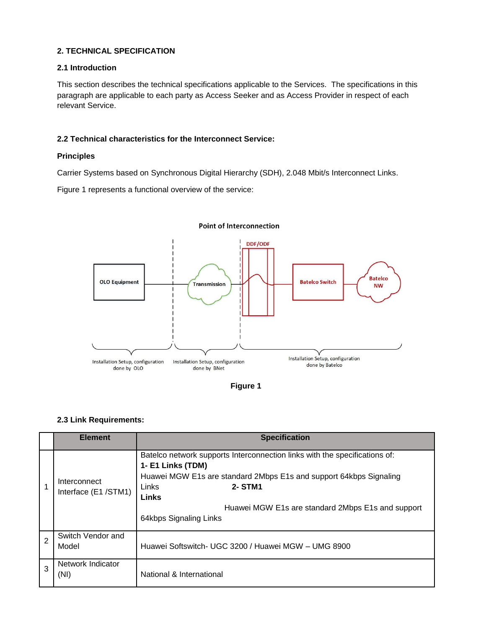### **2. TECHNICAL SPECIFICATION**

### **2.1 Introduction**

This section describes the technical specifications applicable to the Services. The specifications in this paragraph are applicable to each party as Access Seeker and as Access Provider in respect of each relevant Service.

### **2.2 Technical characteristics for the Interconnect Service:**

#### **Principles**

Carrier Systems based on Synchronous Digital Hierarchy (SDH), 2.048 Mbit/s Interconnect Links.

Figure 1 represents a functional overview of the service:



#### **Point of Interconnection**

**Figure 1**

#### **2.3 Link Requirements:**

|   | <b>Element</b>                      | <b>Specification</b>                                                                                                                                                                                                                                                                     |
|---|-------------------------------------|------------------------------------------------------------------------------------------------------------------------------------------------------------------------------------------------------------------------------------------------------------------------------------------|
|   | Interconnect<br>Interface (E1/STM1) | Batelco network supports Interconnection links with the specifications of:<br>1- E1 Links (TDM)<br>Huawei MGW E1s are standard 2Mbps E1s and support 64kbps Signaling<br>Links<br>2- STM1<br><b>Links</b><br>Huawei MGW E1s are standard 2Mbps E1s and support<br>64kbps Signaling Links |
| 2 | Switch Vendor and<br>Model          | Huawei Softswitch- UGC 3200 / Huawei MGW - UMG 8900                                                                                                                                                                                                                                      |
| 3 | Network Indicator<br>(NI)           | National & International                                                                                                                                                                                                                                                                 |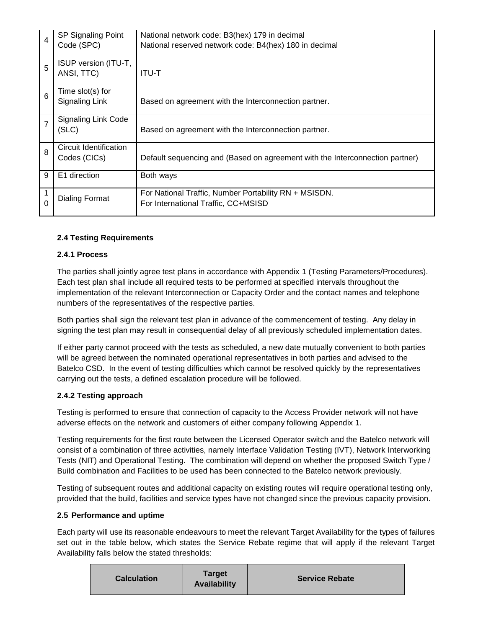| $\overline{4}$ | SP Signaling Point<br>Code (SPC)       | National network code: B3(hex) 179 in decimal<br>National reserved network code: B4(hex) 180 in decimal |
|----------------|----------------------------------------|---------------------------------------------------------------------------------------------------------|
| 5              | ISUP version (ITU-T,<br>ANSI, TTC)     | <b>ITU-T</b>                                                                                            |
| 6              | Time slot(s) for<br>Signaling Link     | Based on agreement with the Interconnection partner.                                                    |
| $\overline{7}$ | <b>Signaling Link Code</b><br>(SLC)    | Based on agreement with the Interconnection partner.                                                    |
| 8              | Circuit Identification<br>Codes (CICs) | Default sequencing and (Based on agreement with the Interconnection partner)                            |
| 9              | E1 direction                           | Both ways                                                                                               |
| 1<br>0         | Dialing Format                         | For National Traffic, Number Portability RN + MSISDN.<br>For International Traffic, CC+MSISD            |

## **2.4 Testing Requirements**

### **2.4.1 Process**

The parties shall jointly agree test plans in accordance with Appendix 1 (Testing Parameters/Procedures). Each test plan shall include all required tests to be performed at specified intervals throughout the implementation of the relevant Interconnection or Capacity Order and the contact names and telephone numbers of the representatives of the respective parties.

Both parties shall sign the relevant test plan in advance of the commencement of testing. Any delay in signing the test plan may result in consequential delay of all previously scheduled implementation dates.

If either party cannot proceed with the tests as scheduled, a new date mutually convenient to both parties will be agreed between the nominated operational representatives in both parties and advised to the Batelco CSD. In the event of testing difficulties which cannot be resolved quickly by the representatives carrying out the tests, a defined escalation procedure will be followed.

### **2.4.2 Testing approach**

Testing is performed to ensure that connection of capacity to the Access Provider network will not have adverse effects on the network and customers of either company following Appendix 1.

Testing requirements for the first route between the Licensed Operator switch and the Batelco network will consist of a combination of three activities, namely Interface Validation Testing (IVT), Network Interworking Tests (NIT) and Operational Testing. The combination will depend on whether the proposed Switch Type / Build combination and Facilities to be used has been connected to the Batelco network previously.

Testing of subsequent routes and additional capacity on existing routes will require operational testing only, provided that the build, facilities and service types have not changed since the previous capacity provision.

### **2.5 Performance and uptime**

Each party will use its reasonable endeavours to meet the relevant Target Availability for the types of failures set out in the table below, which states the Service Rebate regime that will apply if the relevant Target Availability falls below the stated thresholds: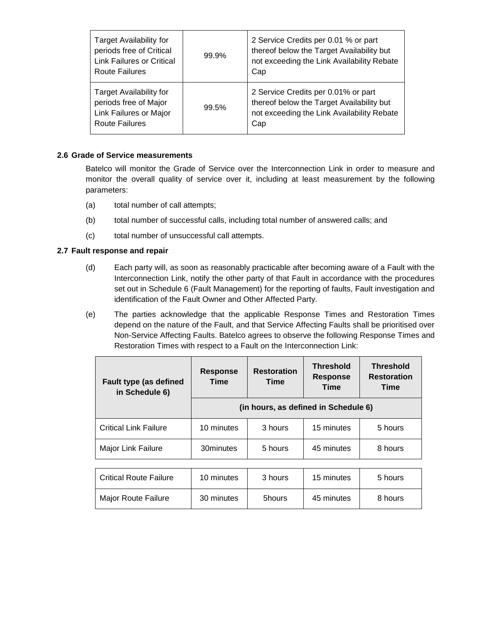| <b>Target Availability for</b><br>periods free of Critical<br><b>Link Failures or Critical</b><br><b>Route Failures</b> | 99.9% | 2 Service Credits per 0.01 % or part<br>thereof below the Target Availability but<br>not exceeding the Link Availability Rebate<br>Cap |
|-------------------------------------------------------------------------------------------------------------------------|-------|----------------------------------------------------------------------------------------------------------------------------------------|
| <b>Target Availability for</b><br>periods free of Major<br>Link Failures or Major<br><b>Route Failures</b>              | 99.5% | 2 Service Credits per 0.01% or part<br>thereof below the Target Availability but<br>not exceeding the Link Availability Rebate<br>Cap  |

#### **2.6 Grade of Service measurements**

Batelco will monitor the Grade of Service over the Interconnection Link in order to measure and monitor the overall quality of service over it, including at least measurement by the following parameters:

- (a) total number of call attempts;
- (b) total number of successful calls, including total number of answered calls; and
- (c) total number of unsuccessful call attempts.

#### **2.7 Fault response and repair**

- (d) Each party will, as soon as reasonably practicable after becoming aware of a Fault with the Interconnection Link, notify the other party of that Fault in accordance with the procedures set out in Schedule 6 (Fault Management) for the reporting of faults, Fault investigation and identification of the Fault Owner and Other Affected Party.
- (e) The parties acknowledge that the applicable Response Times and Restoration Times depend on the nature of the Fault, and that Service Affecting Faults shall be prioritised over Non-Service Affecting Faults. Batelco agrees to observe the following Response Times and Restoration Times with respect to a Fault on the Interconnection Link:

| <b>Fault type (as defined</b><br>in Schedule 6) | <b>Response</b><br>Time | <b>Restoration</b><br>Time           | <b>Threshold</b><br><b>Response</b><br>Time | <b>Threshold</b><br><b>Restoration</b><br>Time |
|-------------------------------------------------|-------------------------|--------------------------------------|---------------------------------------------|------------------------------------------------|
|                                                 |                         | (in hours, as defined in Schedule 6) |                                             |                                                |
| <b>Critical Link Failure</b>                    | 10 minutes              | 3 hours                              | 15 minutes                                  | 5 hours                                        |
| Major Link Failure                              | 30minutes               | 5 hours                              | 45 minutes                                  | 8 hours                                        |
|                                                 |                         |                                      |                                             |                                                |
| <b>Critical Route Failure</b>                   | 10 minutes              | 3 hours                              | 15 minutes                                  | 5 hours                                        |
| <b>Major Route Failure</b>                      | 30 minutes              | 5hours                               | 45 minutes                                  | 8 hours                                        |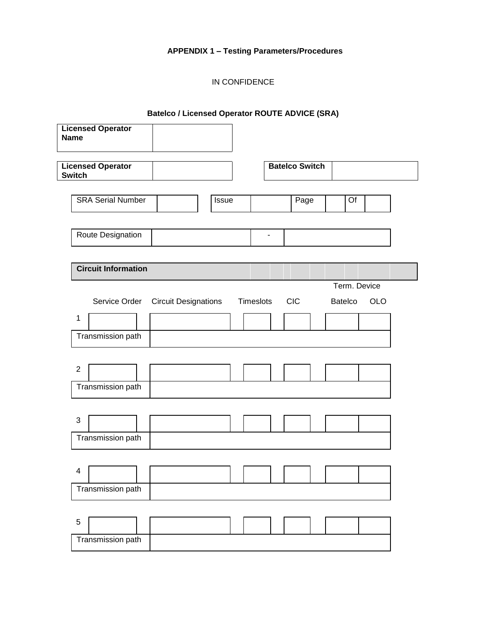# **APPENDIX 1 – Testing Parameters/Procedures**

# IN CONFIDENCE

# **Batelco / Licensed Operator ROUTE ADVICE (SRA)**

| <b>Licensed Operator</b><br><b>Name</b>   |       |           |                       |              |            |
|-------------------------------------------|-------|-----------|-----------------------|--------------|------------|
| <b>Licensed Operator</b><br><b>Switch</b> |       |           | <b>Batelco Switch</b> |              |            |
|                                           |       |           |                       |              |            |
| <b>SRA Serial Number</b>                  | Issue |           | Page                  | Of           |            |
| Route Designation                         |       | ۰         |                       |              |            |
|                                           |       |           |                       |              |            |
| <b>Circuit Information</b>                |       |           |                       |              |            |
|                                           |       |           |                       | Term. Device |            |
| Service Order Circuit Designations        |       | Timeslots | <b>CIC</b>            | Batelco      | <b>OLO</b> |
| $\mathbf 1$                               |       |           |                       |              |            |
| Transmission path                         |       |           |                       |              |            |
|                                           |       |           |                       |              |            |
| $\mathbf{2}$                              |       |           |                       |              |            |
| Transmission path                         |       |           |                       |              |            |
|                                           |       |           |                       |              |            |
| $\sqrt{3}$                                |       |           |                       |              |            |
| Transmission path                         |       |           |                       |              |            |
|                                           |       |           |                       |              |            |
| $\overline{\mathbf{4}}$                   |       |           |                       |              |            |
| Transmission path                         |       |           |                       |              |            |
|                                           |       |           |                       |              |            |
| 5                                         |       |           |                       |              |            |
| Transmission path                         |       |           |                       |              |            |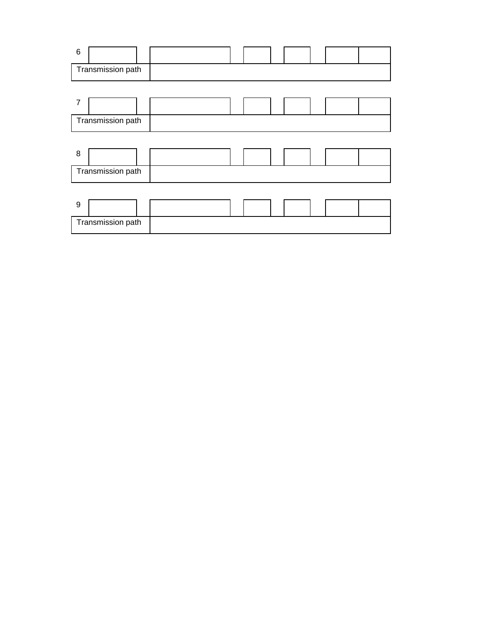| $\,6$ |                   |  |  |  |  |  |
|-------|-------------------|--|--|--|--|--|
|       | Transmission path |  |  |  |  |  |
|       |                   |  |  |  |  |  |
| 7     |                   |  |  |  |  |  |
|       | Transmission path |  |  |  |  |  |
|       |                   |  |  |  |  |  |
| 8     |                   |  |  |  |  |  |
|       | Transmission path |  |  |  |  |  |
|       |                   |  |  |  |  |  |
| 9     |                   |  |  |  |  |  |
|       | Transmission path |  |  |  |  |  |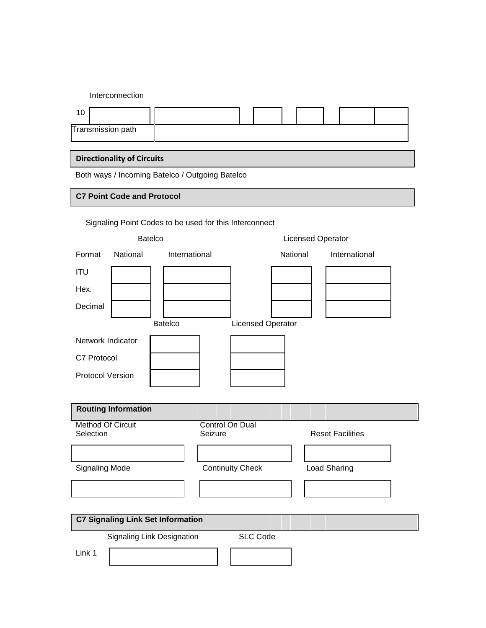Interconnection

| Transmission path |  |  |  |  |  |
|-------------------|--|--|--|--|--|

# **Directionality of Circuits**

Both ways / Incoming Batelco / Outgoing Batelco

### **C7 Point Code and Protocol**

|        | <b>Batelco</b> |               | <b>Licensed Operator</b> |               |
|--------|----------------|---------------|--------------------------|---------------|
| Format | National       | International | National                 | International |

Signaling Point Codes to be used for this Interconnect

| <b>ITU</b>                               |                            |                          |                         |  |
|------------------------------------------|----------------------------|--------------------------|-------------------------|--|
| Hex.                                     |                            |                          |                         |  |
| Decimal                                  |                            |                          |                         |  |
|                                          | <b>Batelco</b>             | <b>Licensed Operator</b> |                         |  |
| Network Indicator                        |                            |                          |                         |  |
| C7 Protocol                              |                            |                          |                         |  |
| <b>Protocol Version</b>                  |                            |                          |                         |  |
|                                          |                            |                          |                         |  |
| <b>Routing Information</b>               |                            |                          |                         |  |
| <b>Method Of Circuit</b><br>Selection    | Seizure                    | Control On Dual          | <b>Reset Facilities</b> |  |
|                                          |                            |                          |                         |  |
|                                          |                            |                          |                         |  |
| <b>Signaling Mode</b>                    |                            | <b>Continuity Check</b>  | Load Sharing            |  |
|                                          |                            |                          |                         |  |
|                                          |                            |                          |                         |  |
| <b>C7 Signaling Link Set Information</b> |                            |                          |                         |  |
|                                          | Signaling Link Designation | <b>SLC Code</b>          |                         |  |